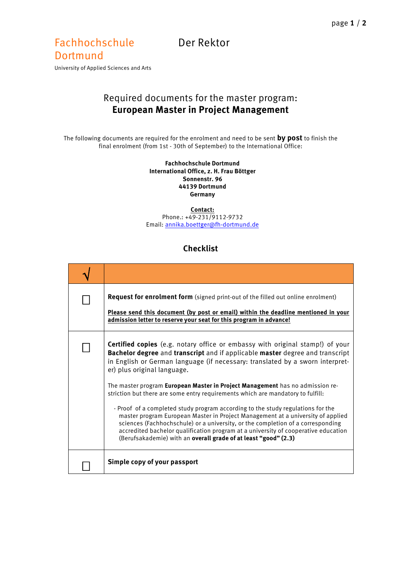## Fachhochschule Der Rektor **Dortmund**

University of Applied Sciences and Arts

## Required documents for the master program: **European Master in Project Management**

The following documents are required for the enrolment and need to be sent **by post** to finish the final enrolment (from 1st - 30th of September) to the International Office:

> **Fachhochschule Dortmund International Office, z. H. Frau Böttger Sonnenstr. 96 44139 Dortmund Germany**

**Contact:** Phone.: +49-231/9112-9732 Email[: annika.boettger@fh-dortmund.de](mailto:annika.boettger@fh-dortmund.de)

## **Checklist**

| <b>Request for enrolment form</b> (signed print-out of the filled out online enrolment)<br>Please send this document (by post or email) within the deadline mentioned in your<br>admission letter to reserve your seat for this program in advance!                                                                                                                                                                                                                                                                                                                                                                                                                                                                                                                                                                                                                                |
|------------------------------------------------------------------------------------------------------------------------------------------------------------------------------------------------------------------------------------------------------------------------------------------------------------------------------------------------------------------------------------------------------------------------------------------------------------------------------------------------------------------------------------------------------------------------------------------------------------------------------------------------------------------------------------------------------------------------------------------------------------------------------------------------------------------------------------------------------------------------------------|
| <b>Certified copies</b> (e.g. notary office or embassy with original stamp!) of your<br>Bachelor degree and transcript and if applicable master degree and transcript<br>in English or German language (if necessary: translated by a sworn interpret-<br>er) plus original language.<br>The master program <b>European Master in Project Management</b> has no admission re-<br>striction but there are some entry requirements which are mandatory to fulfill:<br>- Proof of a completed study program according to the study regulations for the<br>master program European Master in Project Management at a university of applied<br>sciences (Fachhochschule) or a university, or the completion of a corresponding<br>accredited bachelor qualification program at a university of cooperative education<br>(Berufsakademie) with an overall grade of at least "good" (2.3) |
| Simple copy of your passport                                                                                                                                                                                                                                                                                                                                                                                                                                                                                                                                                                                                                                                                                                                                                                                                                                                       |